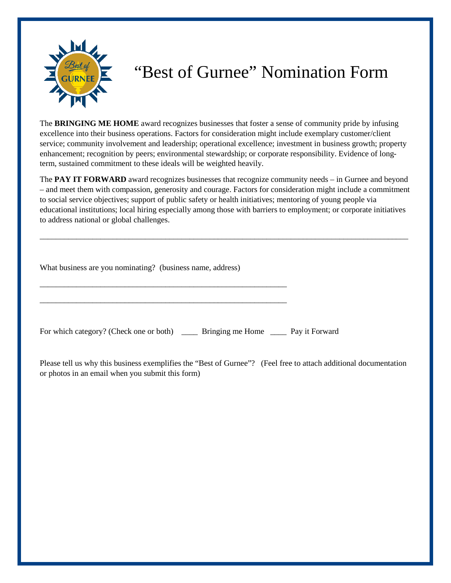

## "Best of Gurnee" Nomination Form

The **BRINGING ME HOME** award recognizes businesses that foster a sense of community pride by infusing excellence into their business operations. Factors for consideration might include exemplary customer/client service; community involvement and leadership; operational excellence; investment in business growth; property enhancement; recognition by peers; environmental stewardship; or corporate responsibility. Evidence of longterm, sustained commitment to these ideals will be weighted heavily.

The **PAY IT FORWARD** award recognizes businesses that recognize community needs – in Gurnee and beyond – and meet them with compassion, generosity and courage. Factors for consideration might include a commitment to social service objectives; support of public safety or health initiatives; mentoring of young people via educational institutions; local hiring especially among those with barriers to employment; or corporate initiatives to address national or global challenges.

\_\_\_\_\_\_\_\_\_\_\_\_\_\_\_\_\_\_\_\_\_\_\_\_\_\_\_\_\_\_\_\_\_\_\_\_\_\_\_\_\_\_\_\_\_\_\_\_\_\_\_\_\_\_\_\_\_\_\_\_\_\_\_\_\_\_\_\_\_\_\_\_\_\_\_\_\_\_\_\_\_\_\_\_\_\_\_\_\_\_\_

What business are you nominating? (business name, address)

\_\_\_\_\_\_\_\_\_\_\_\_\_\_\_\_\_\_\_\_\_\_\_\_\_\_\_\_\_\_\_\_\_\_\_\_\_\_\_\_\_\_\_\_\_\_\_\_\_\_\_\_\_\_\_\_\_\_\_\_\_

\_\_\_\_\_\_\_\_\_\_\_\_\_\_\_\_\_\_\_\_\_\_\_\_\_\_\_\_\_\_\_\_\_\_\_\_\_\_\_\_\_\_\_\_\_\_\_\_\_\_\_\_\_\_\_\_\_\_\_\_\_

For which category? (Check one or both) \_\_\_\_\_ Bringing me Home \_\_\_\_\_ Pay it Forward

Please tell us why this business exemplifies the "Best of Gurnee"? (Feel free to attach additional documentation or photos in an email when you submit this form)